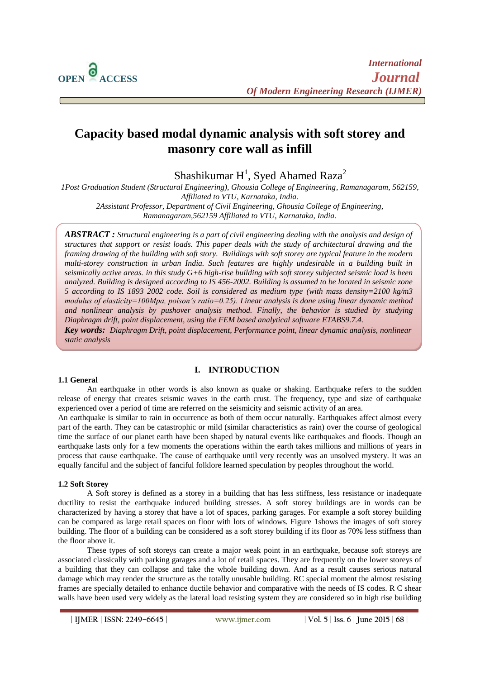

 $\overline{a}$ 

# **Capacity based modal dynamic analysis with soft storey and masonry core wall as infill**

Shashikumar  $H^1$ , Syed Ahamed Raza<sup>2</sup>

*1Post Graduation Student (Structural Engineering), Ghousia College of Engineering, Ramanagaram, 562159, Affiliated to VTU, Karnataka, India. 2Assistant Professor, Department of Civil Engineering, Ghousia College of Engineering,* 

*Ramanagaram,562159 Affiliated to VTU, Karnataka, India.*

*ABSTRACT : Structural engineering is a part of civil engineering dealing with the analysis and design of structures that support or resist loads. This paper deals with the study of architectural drawing and the framing drawing of the building with soft story. Buildings with soft storey are typical feature in the modern multi-storey construction in urban India. Such features are highly undesirable in a building built in seismically active areas. in this study G+6 high-rise building with soft storey subjected seismic load is been analyzed. Building is designed according to IS 456-2002. Building is assumed to be located in seismic zone 5 according to IS 1893 2002 code. Soil is considered as medium type (with mass density=2100 kg/m3 modulus of elasticity=100Mpa, poison's ratio=0.25). Linear analysis is done using linear dynamic method and nonlinear analysis by pushover analysis method. Finally, the behavior is studied by studying Diaphragm drift, point displacement, using the FEM based analytical software ETABS9.7.4.*

*Key words: Diaphragm Drift, point displacement, Performance point, linear dynamic analysis, nonlinear static analysis*

#### **1.1 General**

#### **I. INTRODUCTION**

An earthquake in other words is also known as quake or shaking. Earthquake refers to the sudden release of energy that creates seismic waves in the earth crust. The frequency, type and size of earthquake experienced over a period of time are referred on the seismicity and seismic activity of an area.

An earthquake is similar to rain in occurrence as both of them occur naturally. Earthquakes affect almost every part of the earth. They can be catastrophic or mild (similar characteristics as rain) over the course of geological time the surface of our planet earth have been shaped by natural events like earthquakes and floods. Though an earthquake lasts only for a few moments the operations within the earth takes millions and millions of years in process that cause earthquake. The cause of earthquake until very recently was an unsolved mystery. It was an equally fanciful and the subject of fanciful folklore learned speculation by peoples throughout the world.

#### **1.2 Soft Storey**

A Soft storey is defined as a storey in a building that has less stiffness, less resistance or inadequate ductility to resist the earthquake induced building stresses. A soft storey buildings are in words can be characterized by having a storey that have a lot of spaces, parking garages. For example a soft storey building can be compared as large retail spaces on floor with lots of windows. Figure 1shows the images of soft storey building. The floor of a building can be considered as a soft storey building if its floor as 70% less stiffness than the floor above it.

These types of soft storeys can create a major weak point in an earthquake, because soft storeys are associated classically with parking garages and a lot of retail spaces. They are frequently on the lower storeys of a building that they can collapse and take the whole building down. And as a result causes serious natural damage which may render the structure as the totally unusable building. RC special moment the almost resisting frames are specially detailed to enhance ductile behavior and comparative with the needs of IS codes. R C shear walls have been used very widely as the lateral load resisting system they are considered so in high rise building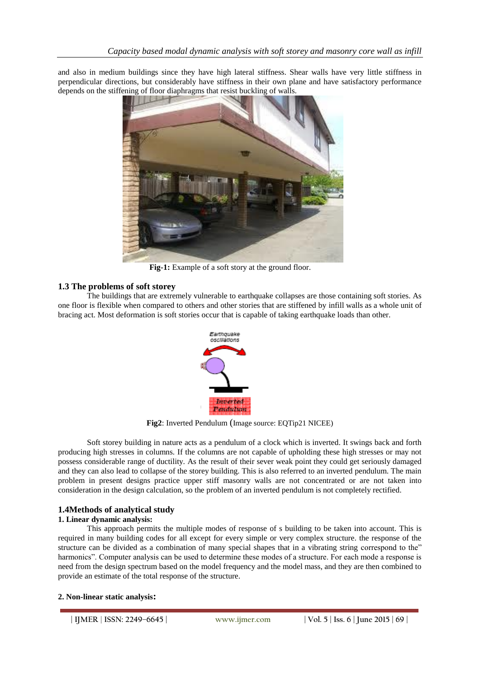and also in medium buildings since they have high lateral stiffness. Shear walls have very little stiffness in perpendicular directions, but considerably have stiffness in their own plane and have satisfactory performance depends on the stiffening of floor diaphragms that resist buckling of walls.



**Fig-1:** Example of a soft story at the ground floor.

# **1.3 The problems of soft storey**

The buildings that are extremely vulnerable to earthquake collapses are those containing soft stories. As one floor is flexible when compared to others and other stories that are stiffened by infill walls as a whole unit of bracing act. Most deformation is soft stories occur that is capable of taking earthquake loads than other.



**Fig2**: Inverted Pendulum (Image source: EQTip21 NICEE)

Soft storey building in nature acts as a pendulum of a clock which is inverted. It swings back and forth producing high stresses in columns. If the columns are not capable of upholding these high stresses or may not possess considerable range of ductility. As the result of their sever weak point they could get seriously damaged and they can also lead to collapse of the storey building. This is also referred to an inverted pendulum. The main problem in present designs practice upper stiff masonry walls are not concentrated or are not taken into consideration in the design calculation, so the problem of an inverted pendulum is not completely rectified.

# **1.4Methods of analytical study**

#### **1. Linear dynamic analysis:**

This approach permits the multiple modes of response of s building to be taken into account. This is required in many building codes for all except for every simple or very complex structure. the response of the structure can be divided as a combination of many special shapes that in a vibrating string correspond to the" harmonics". Computer analysis can be used to determine these modes of a structure. For each mode a response is need from the design spectrum based on the model frequency and the model mass, and they are then combined to provide an estimate of the total response of the structure.

#### **2. Non-linear static analysis:**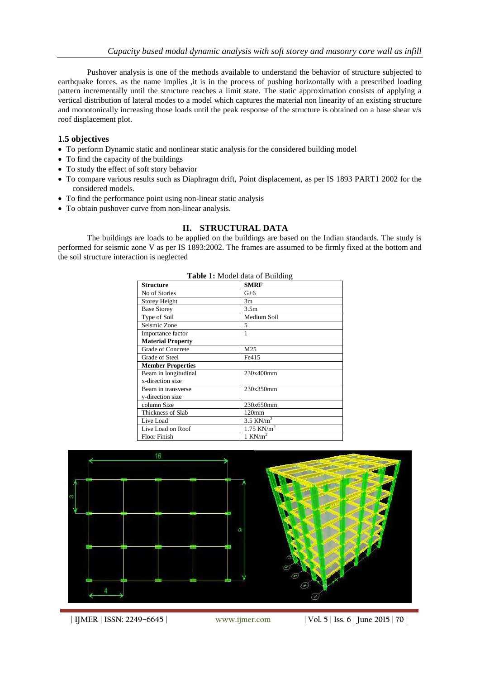Pushover analysis is one of the methods available to understand the behavior of structure subjected to earthquake forces. as the name implies , it is in the process of pushing horizontally with a prescribed loading pattern incrementally until the structure reaches a limit state. The static approximation consists of applying a vertical distribution of lateral modes to a model which captures the material non linearity of an existing structure and monotonically increasing those loads until the peak response of the structure is obtained on a base shear v/s roof displacement plot.

#### **1.5 objectives**

- To perform Dynamic static and nonlinear static analysis for the considered building model
- To find the capacity of the buildings
- To study the effect of soft story behavior
- To compare various results such as Diaphragm drift, Point displacement, as per IS 1893 PART1 2002 for the considered models.
- To find the performance point using non-linear static analysis
- To obtain pushover curve from non-linear analysis.

#### **II. STRUCTURAL DATA**

The buildings are loads to be applied on the buildings are based on the Indian standards. The study is performed for seismic zone V as per IS 1893:2002. The frames are assumed to be firmly fixed at the bottom and the soil structure interaction is neglected

**Table 1:** Model data of Building

| <b>Structure</b>         | <b>SMRF</b>              |
|--------------------------|--------------------------|
| No of Stories            | $G+6$                    |
| Storey Height            | 3m                       |
| <b>Base Storey</b>       | 3.5 <sub>m</sub>         |
| Type of Soil             | Medium Soil              |
| Seismic Zone             | 5                        |
| Importance factor        | 1                        |
| <b>Material Property</b> |                          |
| <b>Grade of Concrete</b> | M25                      |
| Grade of Steel           | Fe415                    |
| <b>Member Properties</b> |                          |
| Beam in longitudinal     | 230x400mm                |
| x-direction size         |                          |
| Beam in transverse       | 230x350mm                |
| y-direction size         |                          |
| column Size              | 230x650mm                |
| Thickness of Slab        | 120 <sub>mm</sub>        |
| Live Load                | $3.5$ KN/m <sup>2</sup>  |
| Live Load on Roof        | $1.75$ KN/m <sup>2</sup> |
| <b>Floor Finish</b>      | 1 KN/ $m2$               |

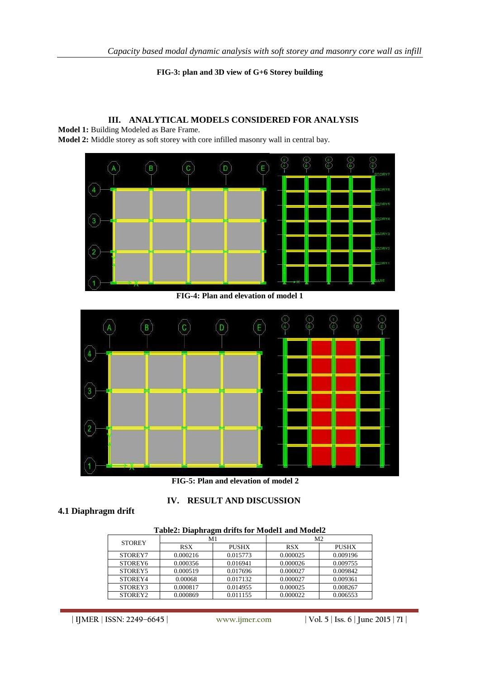**FIG-3: plan and 3D view of G+6 Storey building**

# **III. ANALYTICAL MODELS CONSIDERED FOR ANALYSIS**

**Model 1:** Building Modeled as Bare Frame. **Model 2:** Middle storey as soft storey with core infilled masonry wall in central bay.



**FIG-4: Plan and elevation of model 1**



**FIG-5: Plan and elevation of model 2**

**IV. RESULT AND DISCUSSION**

# **4.1 Diaphragm drift**

| . .                 |            |              |                |              |
|---------------------|------------|--------------|----------------|--------------|
| <b>STOREY</b>       | M1         |              | M <sub>2</sub> |              |
|                     | <b>RSX</b> | <b>PUSHX</b> | <b>RSX</b>     | <b>PUSHX</b> |
| STOREY7             | 0.000216   | 0.015773     | 0.000025       | 0.009196     |
| STOREY <sub>6</sub> | 0.000356   | 0.016941     | 0.000026       | 0.009755     |
| STOREY5             | 0.000519   | 0.017696     | 0.000027       | 0.009842     |
| STOREY4             | 0.00068    | 0.017132     | 0.000027       | 0.009361     |
| STOREY3             | 0.000817   | 0.014955     | 0.000025       | 0.008267     |
| STOREY2             | 0.000869   | 0.011155     | 0.000022       | 0.006553     |

#### **Table2: Diaphragm drifts for Model1 and Model2**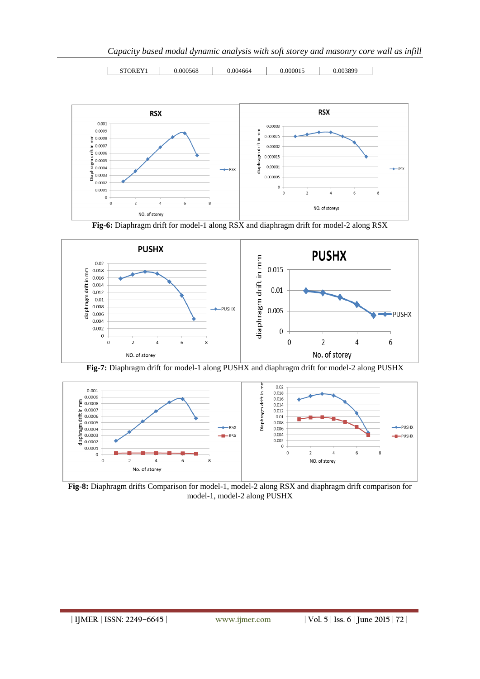*Capacity based modal dynamic analysis with soft storey and masonry core wall as infill*



STOREY1 | 0.000568 | 0.004664 | 0.000015 | 0.003899

**Fig-6:** Diaphragm drift for model-1 along RSX and diaphragm drift for model-2 along RSX



**Fig-7:** Diaphragm drift for model-1 along PUSHX and diaphragm drift for model-2 along PUSHX



**Fig-8:** Diaphragm drifts Comparison for model-1, model-2 along RSX and diaphragm drift comparison for model-1, model-2 along PUSHX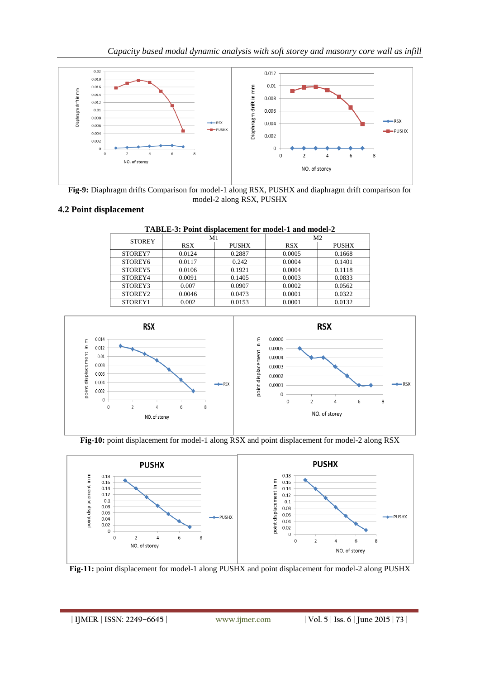

**Fig-9:** Diaphragm drifts Comparison for model-1 along RSX, PUSHX and diaphragm drift comparison for model-2 along RSX, PUSHX

# **4.2 Point displacement**

| TABLE-3: Point displacement for model-1 and model-2 |            |              |                |              |
|-----------------------------------------------------|------------|--------------|----------------|--------------|
| <b>STOREY</b>                                       | M1         |              | M <sub>2</sub> |              |
|                                                     | <b>RSX</b> | <b>PUSHX</b> | <b>RSX</b>     | <b>PUSHX</b> |
| STOREY7                                             | 0.0124     | 0.2887       | 0.0005         | 0.1668       |
| STOREY6                                             | 0.0117     | 0.242        | 0.0004         | 0.1401       |
| STOREY5                                             | 0.0106     | 0.1921       | 0.0004         | 0.1118       |
| STOREY4                                             | 0.0091     | 0.1405       | 0.0003         | 0.0833       |
| STOREY3                                             | 0.007      | 0.0907       | 0.0002         | 0.0562       |
| STOREY2                                             | 0.0046     | 0.0473       | 0.0001         | 0.0322       |
| STOREY1                                             | 0.002      | 0.0153       | 0.0001         | 0.0132       |

**TABLE-3: Point displacement for model-1 and model-2**







**Fig-11:** point displacement for model-1 along PUSHX and point displacement for model-2 along PUSHX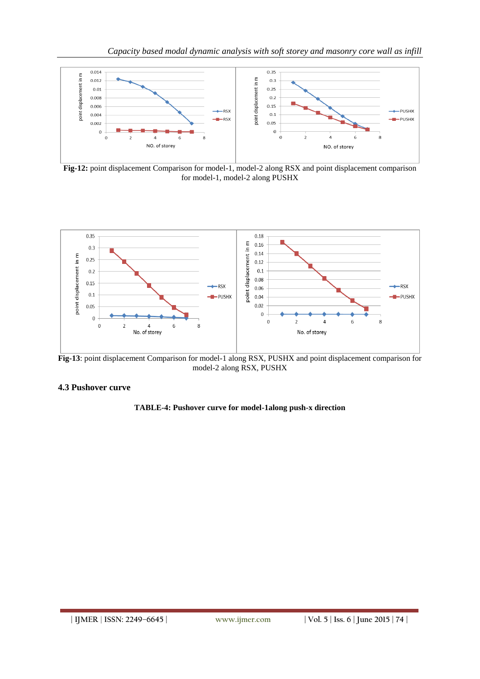

**Fig-12:** point displacement Comparison for model-1, model-2 along RSX and point displacement comparison for model-1, model-2 along PUSHX



**Fig-13**: point displacement Comparison for model-1 along RSX, PUSHX and point displacement comparison for model-2 along RSX, PUSHX

# **4.3 Pushover curve**

# **TABLE-4: Pushover curve for model-1along push-x direction**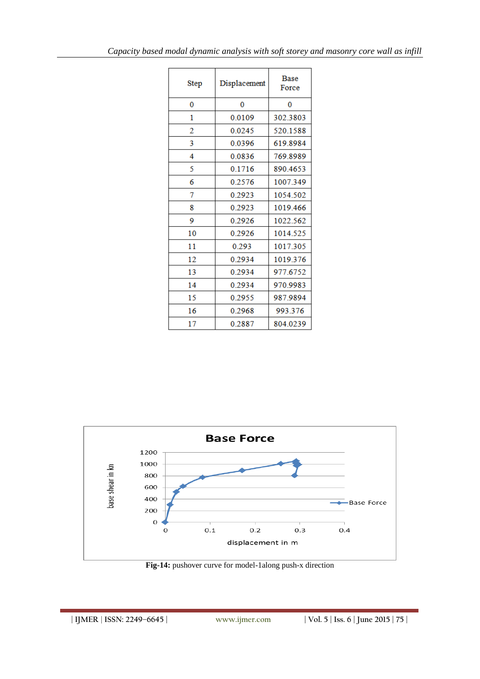| <b>Step</b> | Displacement | <b>Base</b><br>Force |  |
|-------------|--------------|----------------------|--|
| 0           | 0            | 0                    |  |
| 1           | 0.0109       | 302.3803             |  |
| 2           | 0.0245       | 520.1588             |  |
| 3           | 0.0396       | 619.8984             |  |
| 4           | 0.0836       | 769.8989             |  |
| 5           | 0.1716       | 890.4653             |  |
| 6           | 0.2576       | 1007.349             |  |
| 7           | 0.2923       | 1054.502             |  |
| 8           | 0.2923       | 1019.466             |  |
| 9           | 0.2926       | 1022.562             |  |
| 10          | 0.2926       | 1014.525             |  |
| 11          | 0.293        | 1017.305             |  |
| 12          | 0.2934       | 1019.376             |  |
| 13          | 0.2934       | 977.6752             |  |
| 14          | 0.2934       | 970.9983             |  |
| 15          | 0.2955       | 987.9894             |  |
| 16          | 0.2968       | 993.376              |  |
| 17          | 0.2887       | 804.0239             |  |



**Fig-14:** pushover curve for model-1along push-x direction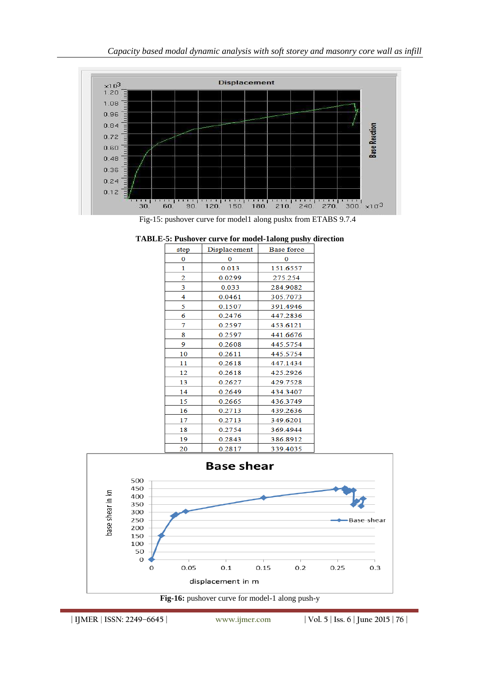

Fig-15: pushover curve for model1 along pushx from ETABS 9.7.4

| step | Displacement<br>Base force |          |
|------|----------------------------|----------|
| 0    | $\Omega$                   | 0        |
| 1    | 0.013                      | 151.6557 |
| 2    | 0.0299                     | 275.254  |
| 3    | 0.033                      | 284.9082 |
| 4    | 0.0461                     | 305.7073 |
| 5    | 0.1507                     | 391.4946 |
| 6    | 0.2476                     | 447.2836 |
| 7    | 0.2597                     | 453.6121 |
| 8    | 0.2597                     | 441.6676 |
| 9    | 0.2608                     | 445.5754 |
| 10   | 0.2611                     | 445.5754 |
| 11   | 0.2618                     | 447.1434 |
| 12   | 0.2618                     | 425.2926 |
| 13   | 0.2627                     | 429.7528 |
| 14   | 0.2649                     | 434.3407 |
| 15   | 0.2665                     | 436.3749 |
| 16   | 0.2713                     | 439.2636 |
| 17   | 0.2713                     | 349.6201 |
| 18   | 0.2754                     | 369.4944 |
| 19   | 0.2843                     | 386.8912 |
| 20   | 0.2817                     | 339.4035 |

|  | <b>TABLE-5: Pushover curve for model-1along pushy direction</b> |  |
|--|-----------------------------------------------------------------|--|
|  |                                                                 |  |



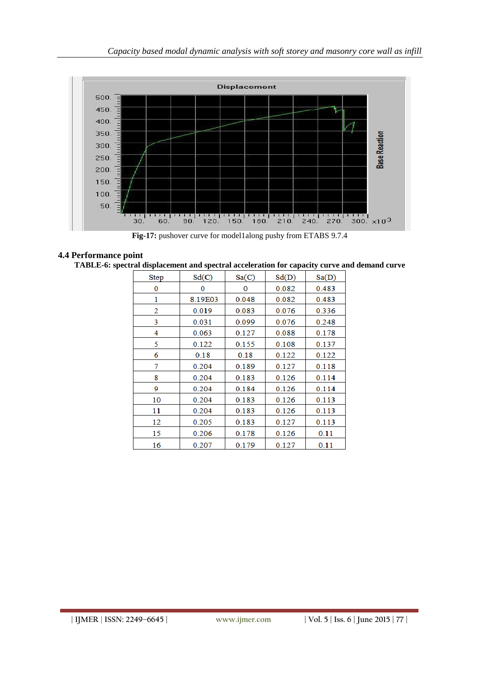

**Fig-17:** pushover curve for model1along pushy from ETABS 9.7.4

# **4.4 Performance point**

**TABLE-6: spectral displacement and spectral acceleration for capacity curve and demand curve**

| <b>Step</b> | Sd(C)   | Sa(C) | Sd(D) | Sa(D) |
|-------------|---------|-------|-------|-------|
| 0           | 0       | 0     | 0.082 | 0.483 |
| 1           | 8.19E03 | 0.048 | 0.082 | 0.483 |
| 2           | 0.019   | 0.083 | 0.076 | 0.336 |
| 3           | 0.031   | 0.099 | 0.076 | 0.248 |
| 4           | 0.063   | 0.127 | 0.088 | 0.178 |
| 5           | 0.122   | 0.155 | 0.108 | 0.137 |
| 6           | 0.18    | 0.18  | 0.122 | 0.122 |
| 7           | 0.204   | 0.189 | 0.127 | 0.118 |
| 8           | 0.204   | 0.183 | 0.126 | 0.114 |
| 9           | 0.204   | 0.184 | 0.126 | 0.114 |
| 10          | 0.204   | 0.183 | 0.126 | 0.113 |
| 11          | 0.204   | 0.183 | 0.126 | 0.113 |
| 12          | 0.205   | 0.183 | 0.127 | 0.113 |
| 15          | 0.206   | 0.178 | 0.126 | 0.11  |
| 16          | 0.207   | 0.179 | 0.127 | 0.11  |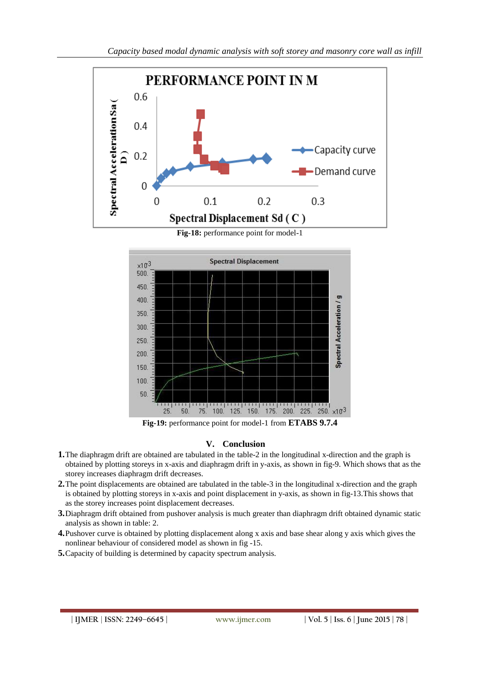

**Fig-18:** performance point for model-1



# **V. Conclusion**

- **1.**The diaphragm drift are obtained are tabulated in the table-2 in the longitudinal x-direction and the graph is obtained by plotting storeys in x-axis and diaphragm drift in y-axis, as shown in fig-9. Which shows that as the storey increases diaphragm drift decreases.
- **2.**The point displacements are obtained are tabulated in the table-3 in the longitudinal x-direction and the graph is obtained by plotting storeys in x-axis and point displacement in y-axis, as shown in fig-13.This shows that as the storey increases point displacement decreases.
- **3.**Diaphragm drift obtained from pushover analysis is much greater than diaphragm drift obtained dynamic static analysis as shown in table: 2.
- **4.**Pushover curve is obtained by plotting displacement along x axis and base shear along y axis which gives the nonlinear behaviour of considered model as shown in fig -15.
- **5.**Capacity of building is determined by capacity spectrum analysis.